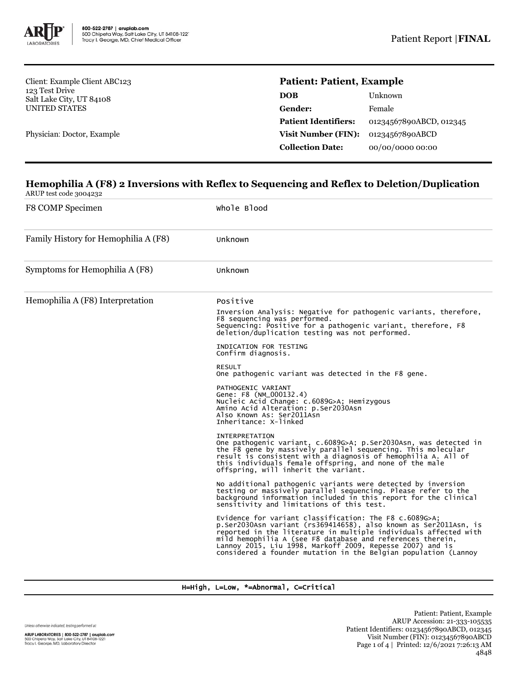

Client: Example Client ABC123 123 Test Drive Salt Lake City, UT 84108 UNITED STATES

Physician: Doctor, Example

# **Patient: Patient, Example**

| DOB                         | Unknown                 |
|-----------------------------|-------------------------|
| Gender:                     | Female                  |
| <b>Patient Identifiers:</b> | 01234567890ABCD, 012345 |
| Visit Number (FIN):         | 01234567890ABCD         |
| <b>Collection Date:</b>     | 00/00/0000 00:00        |
|                             |                         |

## **Hemophilia A (F8) 2 Inversions with Reflex to Sequencing and Reflex to Deletion/Duplication** ARUP test code 3004232

F8 COMP Specimen Whole Blood Family History for Hemophilia A (F8) Unknown Symptoms for Hemophilia A (F8) Unknown Hemophilia A (F8) Interpretation Positive Inversion Analysis: Negative for pathogenic variants, therefore, F8 sequencing was performed. Sequencing: Positive for a pathogenic variant, therefore, F8 deletion/duplication testing was not performed. INDICATION FOR TESTING Confirm diagnosis. RESULT One pathogenic variant was detected in the F8 gene. PATHOGENIC VARIANT Gene: F8 (NM\_000132.4) Nucleic Acid Change: c.6089G>A; Hemizygous Amino Acid Alteration: p.Ser2030Asn Also Known As: Ser2011Asn Inheritance: X-linked INTERPRETATION One pathogenic variant, c.6089G>A; p.Ser2030Asn, was detected in the F8 gene by massively parallel sequencing. This molecular result is consistent with a diagnosis of hemophilia A. All of this individuals female offspring, and none of the male offspring, will inherit the variant. No additional pathogenic variants were detected by inversion testing or massively parallel sequencing. Please refer to the background information included in this report for the clinical sensitivity and limitations of this test. Evidence for variant classification: The F8 c.6089G>A; p.Ser2030Asn variant (rs369414658), also known as Ser2011Asn, is reported in the literature in multiple individuals affected with mild hemophilia A (see F8 database and references therein, Lannoy 2015, Liu 1998, Markoff 2009, Repesse 2007) and is considered a founder mutation in the Belgian population (Lannoy

H=High, L=Low, \*=Abnormal, C=Critical

Unless otherwise indicated, testing performed at: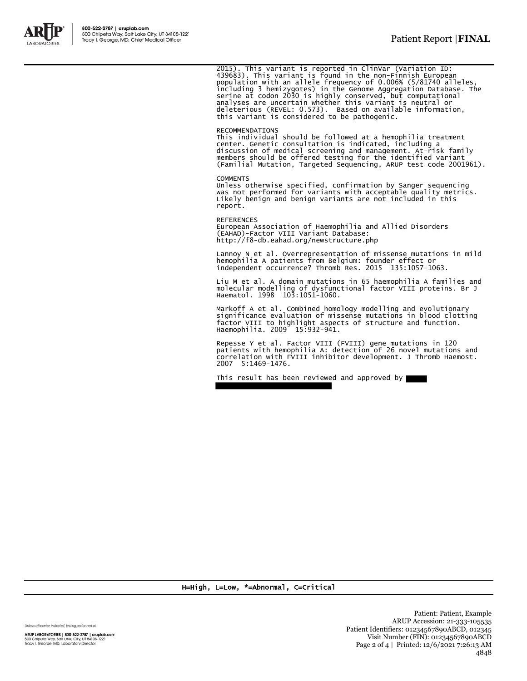

2015). This variant is reported in ClinVar (Variation ID:<br>439683). This variant is found in the non-Finnish European<br>population with an allele frequency of 0.006% (5/81740 alleles,<br>including 3 hemizygotes) in the Genome Ag deleterious (REVEL: 0.573). Based on available information, this variant is considered to be pathogenic.

RECOMMENDATIONS This individual should be followed at a hemophilia treatment center. Genetic consultation is indicated, including a discussion of medical screening and management. At-risk family members should be offered testing for the identified variant (Familial Mutation, Targeted Sequencing, ARUP test code 2001961).

### **COMMENTS**

Unless otherwise specified, confirmation by Sanger sequencing was not performed for variants with acceptable quality metrics. Likely benign and benign variants are not included in this report.

REFERENCES European Association of Haemophilia and Allied Disorders (EAHAD)-Factor VIII Variant Database:

http://f8-db.eahad.org/newstructure.php

Lannoy N et al. Overrepresentation of missense mutations in mild hemophilia A patients from Belgium: founder effect or independent occurrence? Thromb Res. 2015 135:1057-1063.

Liu M et al. A domain mutations in 65 haemophilia A families and molecular modelling of dysfunctional factor VIII proteins. Br J Haematol. 1998 103:1051-1060.

Markoff A et al. Combined homology modelling and evolutionary significance evaluation of missense mutations in blood clotting factor VIII to highlight aspects of structure and function. Haemophilia. 2009 15:932-941.

Repesse Y et al. Factor VIII (FVIII) gene mutations in 120 patients with hemophilia A: detection of 26 novel mutations and correlation with FVIII inhibitor development. J Thromb Haemost. 2007 5:1469-1476.

This result has been reviewed and approved by

H=High, L=Low, \*=Abnormal, C=Critical

Unless otherwise indicated, testing performed at:

ARUP LABORATORIES | 800-522-2787 | aruplab.com 500 Chipeta Way, Salt Lake City, UT 84108-1221<br>Tracy I. George, MD, Laboratory Director

Patient: Patient, Example ARUP Accession: 21-333-105535 Patient Identifiers: 01234567890ABCD, 012345 Visit Number (FIN): 01234567890ABCD Page 2 of 4 | Printed: 12/6/2021 7:26:13 AM 4848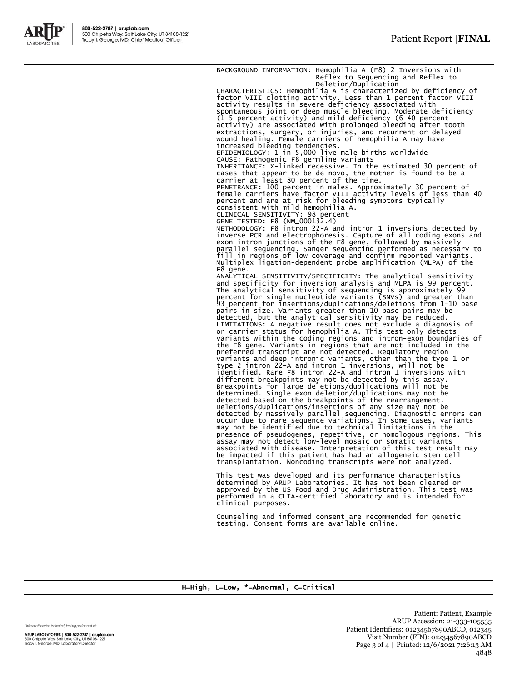

BACKGROUND INFORMATION: Hemophilia A (F8) 2 Inversions with Reflex to Sequencing and Reflex to Deletion/Duplication CHARACTERISTICS: Hemophilia A is characterized by deficiency of factor VIII clotting activity. Less than 1 percent factor VIII activity results in severe deficiency associated with<br>spontaneous joint or deep muscle bleeding. Moderate deficiency<br>(1-5 percent activity) and mild deficiency (6-40 percent<br>activity) are associated with prolonged bleeding increased bleeding tendencies. EPIDEMIOLOGY: 1 in 5,000 live male births worldwide CAUSE: Pathogenic F8 germline variants INHERITANCE: X-linked recessive. In the estimated 30 percent of cases that appear to be de novo, the mother is found to be a carrier at least 80 percent of the time. PENETRANCE: 100 percent in males. Approximately 30 percent of female carriers have factor VIII activity levels of less than 40 percent and are at risk for bleeding symptoms typically consistent with mild hemophilia A. CLINICAL SENSITIVITY: 98 percent GENE TESTED: F8 (NM\_000132.4) METHODOLOGY: F8 intron 22-A and intron 1 inversions detected by inverse PCR and electrophoresis. Capture of all coding exons and exon-intron junctions of the F8 gene, followed by massively parallel sequencing. Sanger sequencing performed as necessary to fill in regions of low coverage and confirm reported variants. Multiplex ligation-dependent probe amplification (MLPA) of the F8 gene. ANALYTICAL SENSITIVITY/SPECIFICITY: The analytical sensitivity and specificity for inversion analysis and MLPA is 99 percent. The analytical sensitivity of sequencing is approximately 99 percent for single nucleotide variants (SNVs) and greater than 93 percent for insertions/duplications/deletions from 1-10 base pairs in size. Variants greater than 10 base pairs may be<br>detected, but the analytical sensitivity may be reduced.<br>LIMITATIONS: A negative result does not exclude a diagnosis of<br>or carrier status for hemophilia A. This tes the F8 gene. Variants in regions that are not included in the preferred transcript are not detected. Regulatory region variants and deep intronic variants, other than the type 1 or<br>type 2 intron 22-A and intron 1 inversions, will not be<br>identified. Rare F8 intron 22-A and intron 1 inversions<br>different breakpoints may not be detected by thi detected based on the breakpoints of the rearrangement.<br>Deletions/duplications/insertions of any size may not be<br>detected by massively parallel sequencing. Diagnostic errors can<br>occur due to rare sequence variations. In so transplantation. Noncoding transcripts were not analyzed. This test was developed and its performance characteristics

determined by ARUP Laboratories. It has not been cleared or approved by the US Food and Drug Administration. This test was performed in a CLIA-certified laboratory and is intended for clinical purposes.

Counseling and informed consent are recommended for genetic testing. Consent forms are available online.

## H=High, L=Low, \*=Abnormal, C=Critical

Unless otherwise indicated, testing performed at:

ARUP LABORATORIES | 800-522-2787 | aruplab.com 500 Chipeta Way, Salt Lake City, UT 84108-1221<br>Tracy I. George, MD, Laboratory Director

Patient: Patient, Example ARUP Accession: 21-333-105535 Patient Identifiers: 01234567890ABCD, 012345 Visit Number (FIN): 01234567890ABCD Page 3 of 4 | Printed: 12/6/2021 7:26:13 AM 4848